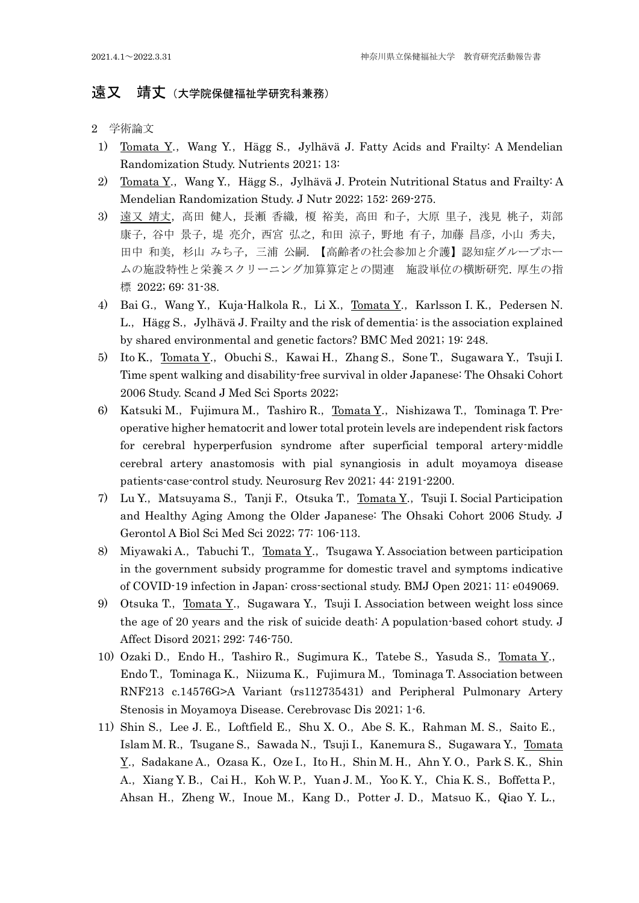## 运又 靖丈 (大学院保健福祉学研究科兼務)

2 学術論文

- 1) Tomata Y., Wang Y., Hägg S., Jylhävä J. Fatty Acids and Frailty: A Mendelian Randomization Study. Nutrients 2021; 13:
- 2) Tomata Y., Wang Y., Hägg S., Jylhävä J. Protein Nutritional Status and Frailty: A Mendelian Randomization Study. J Nutr 2022; 152: 269-275.
- 3) 遠又 靖丈, 高田 健人, 長瀬 香織, 榎 裕美, 高田 和子, 大原 里子, 浅見 桃子, 苅部 康子,谷中景子,堤亮介,西宮 弘之,和田 涼子,野地 有子,加藤 昌彦,小山 秀夫, 田中 和美,杉山 みち子,三浦 公嗣. 【高齢者の社会参加と介護】認知症グループホー ムの施設特性と栄養スクリーニング加算算定との関連 施設単位の横断研究. 厚生の指 標 2022; 69: 31-38.
- 4) Bai G., Wang Y., Kuja-Halkola R., Li X., Tomata Y., Karlsson I. K., Pedersen N. L., Hägg S., Jylhävä J. Frailty and the risk of dementia: is the association explained by shared environmental and genetic factors? BMC Med 2021; 19: 248.
- 5) Ito K., Tomata Y., Obuchi S., Kawai H., Zhang S., Sone T., Sugawara Y., Tsuji I. Time spent walking and disability-free survival in older Japanese: The Ohsaki Cohort 2006 Study. Scand J Med Sci Sports 2022;
- 6) Katsuki M., Fujimura M., Tashiro R., Tomata Y., Nishizawa T., Tominaga T. Preoperative higher hematocrit and lower total protein levels are independent risk factors for cerebral hyperperfusion syndrome after superficial temporal artery-middle cerebral artery anastomosis with pial synangiosis in adult moyamoya disease patients-case-control study. Neurosurg Rev 2021; 44: 2191-2200.
- 7) Lu Y., Matsuyama S., Tanji F., Otsuka T., <u>Tomata Y</u>., Tsuji I. Social Participation and Healthy Aging Among the Older Japanese: The Ohsaki Cohort 2006 Study. J Gerontol A Biol Sci Med Sci 2022; 77: 106-113.
- 8) Miyawaki A., Tabuchi T.,  $\underline{Tomata Y}$ ., Tsugawa Y. Association between participation in the government subsidy programme for domestic travel and symptoms indicative of COVID-19 infection in Japan: cross-sectional study. BMJ Open 2021; 11: e049069.
- 9) Otsuka T., Tomata Y., Sugawara Y., Tsuji I. Association between weight loss since the age of 20 years and the risk of suicide death: A population-based cohort study. J Affect Disord 2021; 292: 746-750.
- 10) Ozaki D., Endo H., Tashiro R., Sugimura K., Tatebe S., Yasuda S., Tomata Y., Endo T., Tominaga K., Niizuma K., Fujimura M., Tominaga T. Association between RNF213 c.14576G>A Variant (rs112735431) and Peripheral Pulmonary Artery Stenosis in Moyamoya Disease. Cerebrovasc Dis 2021; 1-6.
- 11) Shin S., Lee J. E., Loftfield E., Shu X. O., Abe S. K., Rahman M. S., Saito E., Islam M. R., Tsugane S., Sawada N., Tsuji I., Kanemura S., Sugawara Y., Tomata Y., Sadakane A., Ozasa K., Oze I., Ito H., Shin M. H., Ahn Y. O., Park S. K., Shin A., Xiang Y. B., Cai H., Koh W. P., Yuan J. M., Yoo K. Y., Chia K. S., Boffetta P., Ahsan H., Zheng W., Inoue M., Kang D., Potter J. D., Matsuo K., Qiao Y. L.,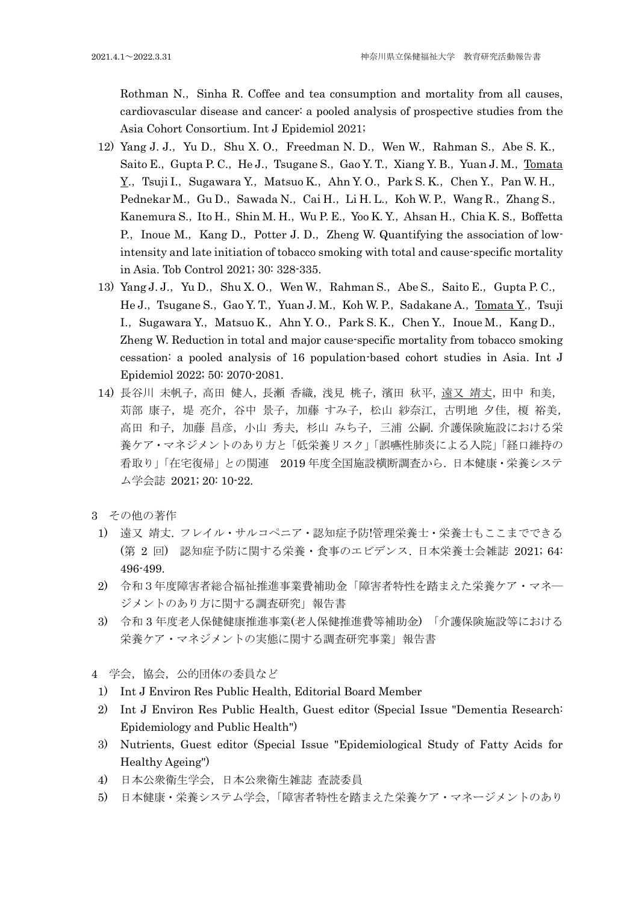Rothman N., Sinha R. Coffee and tea consumption and mortality from all causes, cardiovascular disease and cancer: a pooled analysis of prospective studies from the Asia Cohort Consortium. Int J Epidemiol 2021;

- 12) Yang J. J., Yu D., Shu X. O., Freedman N. D., Wen W., Rahman S., Abe S. K., Saito E., Gupta P. C., He J., Tsugane S., Gao Y. T., Xiang Y. B., Yuan J. M., Tomata Y., Tsuji I., Sugawara Y., Matsuo K., Ahn Y. O., Park S. K., Chen Y., Pan W. H., Pednekar M., Gu D., Sawada N., Cai H., Li H. L., Koh W. P., Wang R., Zhang S., Kanemura S., Ito H., Shin M. H., Wu P. E., Yoo K. Y., Ahsan H., Chia K. S., Boffetta P., Inoue M., Kang D., Potter J. D., Zheng W. Quantifying the association of lowintensity and late initiation of tobacco smoking with total and cause-specific mortality in Asia. Tob Control 2021; 30: 328-335.
- 13) Yang J. J., Yu D., Shu X. O., Wen W., Rahman S., Abe S., Saito E., Gupta P. C., He J., Tsugane S., Gao Y. T., Yuan J. M., Koh W. P., Sadakane A., Tomata Y., Tsuji I., Sugawara Y., Matsuo K., Ahn Y. O., Park S. K., Chen Y., Inoue M., Kang D., Zheng W. Reduction in total and major cause-specific mortality from tobacco smoking cessation: a pooled analysis of 16 population-based cohort studies in Asia. Int J Epidemiol 2022; 50: 2070-2081.
- 14) 長谷川 未帆子,高田 健人,長瀬 香織,浅見 桃子,濱田 秋平,遠又 靖丈,田中 和美, 対部 康子, 堤 亮介, 谷中 景子, 加藤 すみ子, 松山 紗奈江, 古明地 夕佳, 榎 裕美, 高田 和子,加藤 昌彦,小山 秀夫,杉山 みち子,三浦 公嗣. 介護保険施設における栄 養ケア・マネジメントのあり方と「低栄養リスク」「誤嚥性肺炎による入院」「経口維持の 看取り」「在宅復帰」との関連 2019 年度全国施設横断調査から. 日本健康・栄養システ ム学会誌 2021; 20: 10-22.
- 3 その他の著作
- 1) 遠又 靖丈. フレイル・サルコペニア・認知症予防!管理栄養士・栄養士もここまでできる (第 2 回) 認知症予防に関する栄養・食事のエビデンス. 日本栄養士会雑誌 2021; 64: 496-499.
- 2) 令和3年度障害者総合福祉推進事業費補助金「障害者特性を踏まえた栄養ケア・マネ― ジメントのあり方に関する調査研究」報告書
- 3) 令和 3 年度老人保健健康推進事業(老人保健推進費等補助金) 「介護保険施設等における 栄養ケア・マネジメントの実態に関する調査研究事業」報告書
- 4 学会,協会,公的団体の委員など
- 1) Int J Environ Res Public Health, Editorial Board Member
- 2) Int J Environ Res Public Health, Guest editor (Special Issue "Dementia Research: Epidemiology and Public Health")
- 3) Nutrients, Guest editor (Special Issue "Epidemiological Study of Fatty Acids for Healthy Ageing")
- 4) 日本公衆衛生学会,日本公衆衛生雑誌 査読委員
- 5) 日本健康・栄養システム学会,「障害者特性を踏まえた栄養ケア・マネージメントのあり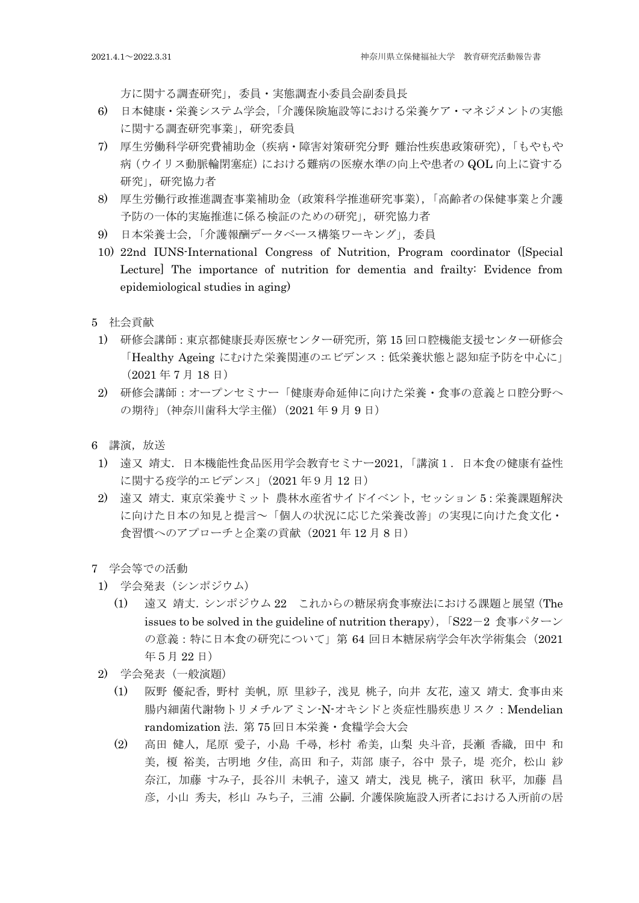方に関する調査研究」,委員・実態調査小委員会副委員長

- 6) 日本健康・栄養システム学会,「介護保険施設等における栄養ケア・マネジメントの実態 に関する調査研究事業」,研究委員
- 7) 厚生労働科学研究費補助金(疾病・障害対策研究分野 難治性疾患政策研究),「もやもや 病(ウイリス動脈輪閉塞症)における難病の医療水準の向上や患者の QOL 向上に資する 研究」,研究協力者
- 8) 厚生労働行政推進調査事業補助金(政策科学推進研究事業),「高齢者の保健事業と介護 予防の一体的実施推進に係る検証のための研究」,研究協力者
- 9) 日本栄養士会,「介護報酬データベース構築ワーキング」,委員
- 10) 22nd IUNS-International Congress of Nutrition, Program coordinator ([Special Lecture] The importance of nutrition for dementia and frailty: Evidence from epidemiological studies in aging)
- 5 社会貢献
- 1) 研修会講師:東京都健康長寿医療センター研究所,第 15 回口腔機能支援センター研修会 「Healthy Ageing にむけた栄養関連のエビデンス:低栄養状態と認知症予防を中心に」 (2021 年 7 月 18 日)
- 2) 研修会講師:オープンセミナー「健康寿命延伸に向けた栄養・食事の意義と口腔分野へ の期待」(神奈川歯科大学主催) (2021年9月9日)
- 6 講演,放送
	- 1) 遠又 靖丈.日本機能性食品医用学会教育セミナー2021,「講演1.日本食の健康有益性 に関する疫学的エビデンス」(2021 年9月 12 日)
	- 2) 遠又 靖丈.東京栄養サミット 農林水産省サイドイベント,セッション 5:栄養課題解決 に向けた日本の知見と提言~「個人の状況に応じた栄養改善」の実現に向けた食文化・ 食習慣へのアプローチと企業の貢献(2021年12月8日)

7 学会等での活動

- 1) 学会発表(シンポジウム)
	- (1) 遠又 靖丈.シンポジウム 22 これからの糖尿病食事療法における課題と展望(The issues to be solved in the guideline of nutrition therapy),  $\left[ S22-2 \right]$  食事パターン の意義:特に日本食の研究について」第 64 回日本糖尿病学会年次学術集会(2021 年5月 22 日)
- 2) 学会発表(一般演題)
	- (1) 阪野 優紀香,野村 美帆,原 里紗子,浅見 桃子,向井 友花,遠又 靖丈. 食事由来 腸内細菌代謝物トリメチルアミン-N-オキシドと炎症性腸疾患リスク:Mendelian randomization 法. 第 75 回日本栄養・食糧学会大会
	- (2) 高田 健人,尾原 愛子,小島 千尋,杉村 希美,山梨 央斗音,長瀬 香織,田中 和 美, 榎 裕美, 古明地 夕佳, 高田 和子, 苅部 康子, 谷中 景子, 堤 亮介, 松山 紗 奈江, 加藤 すみ子, 長谷川 未帆子, 遠又 靖丈, 浅見 桃子, 濱田 秋平, 加藤 昌 彦,小山 秀夫,杉山 みち子,三浦 公嗣. 介護保険施設入所者における入所前の居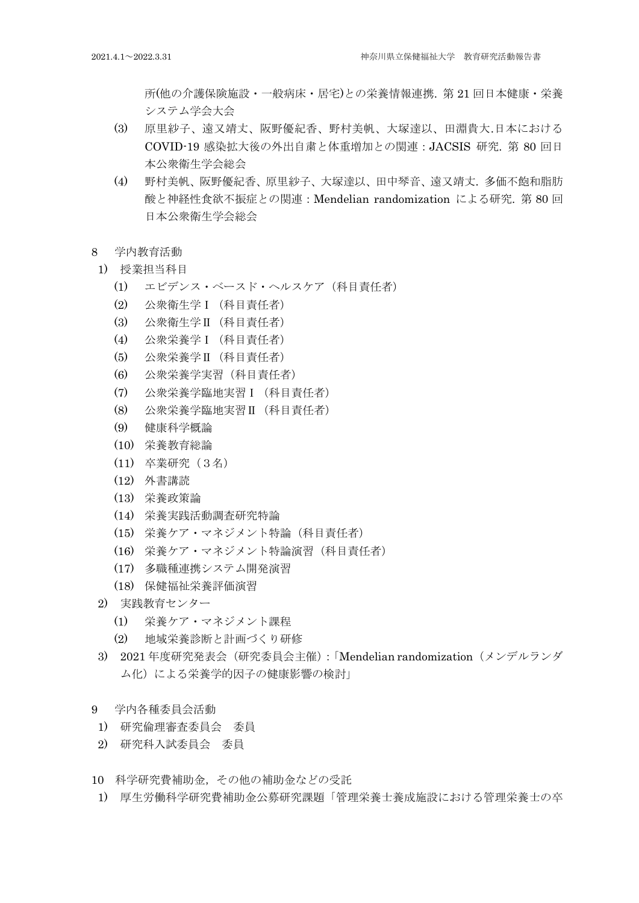所(他の介護保険施設・一般病床・居宅)との栄養情報連携. 第 21 回日本健康・栄養 システム学会大会

- (3) 原里紗子、遠又靖丈、阪野優紀香、野村美帆、大塚達以、田淵貴大.日本における COVID-19 感染拡大後の外出自粛と体重増加との関連:JACSIS 研究. 第 80 回日 本公衆衛生学会総会
- (4) 野村美帆、阪野優紀香、原里紗子、大塚達以、田中琴音、遠又靖丈. 多価不飽和脂肪 酸と神経性食欲不振症との関連:Mendelian randomization による研究. 第 80 回 日本公衆衛生学会総会
- 8 学内教育活動
- 1) 授業担当科目
	- (1) エビデンス・ベースド・ヘルスケア(科目責任者)
	- (2) 公衆衛生学Ⅰ(科目責任者)
	- (3) 公衆衛生学Ⅱ(科目責任者)
	- (4) 公衆栄養学Ⅰ(科目責任者)
	- (5) 公衆栄養学Ⅱ(科目責任者)
	- (6) 公衆栄養学実習(科目責任者)
	- (7) 公衆栄養学臨地実習Ⅰ(科目責任者)
	- (8) 公衆栄養学臨地実習Ⅱ(科目責任者)
	- (9) 健康科学概論
	- (10) 栄養教育総論
	- (11) 卒業研究(3名)
	- (12) 外書講読
	- (13) 栄養政策論
	- (14) 栄養実践活動調査研究特論
	- (15) 栄養ケア・マネジメント特論(科目責任者)
	- (16) 栄養ケア・マネジメント特論演習(科目責任者)
	- (17) 多職種連携システム開発演習
	- (18) 保健福祉栄養評価演習
- 2) 実践教育センター
	- (1) 栄養ケア・マネジメント課程
	- (2) 地域栄養診断と計画づくり研修
- 3) 2021 年度研究発表会(研究委員会主催):「Mendelian randomization(メンデルランダ ム化)による栄養学的因子の健康影響の検討」
- 9 学内各種委員会活動
- 1) 研究倫理審査委員会 委員
- 2) 研究科入試委員会 委員
- 10 科学研究費補助金,その他の補助金などの受託
- 1) 厚生労働科学研究費補助金公募研究課題「管理栄養士養成施設における管理栄養士の卒